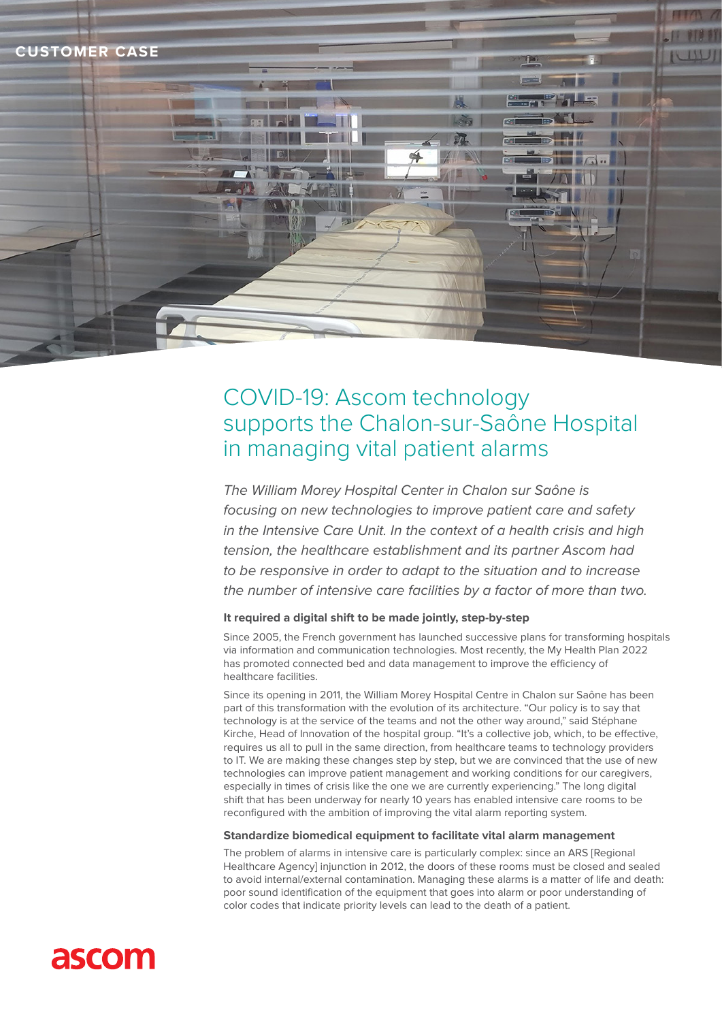

# COVID-19: Ascom technology supports the Chalon-sur-Saône Hospital in managing vital patient alarms

*The William Morey Hospital Center in Chalon sur Saône is focusing on new technologies to improve patient care and safety in the Intensive Care Unit. In the context of a health crisis and high tension, the healthcare establishment and its partner Ascom had to be responsive in order to adapt to the situation and to increase the number of intensive care facilities by a factor of more than two.*

# **It required a digital shift to be made jointly, step-by-step**

Since 2005, the French government has launched successive plans for transforming hospitals via information and communication technologies. Most recently, the My Health Plan 2022 has promoted connected bed and data management to improve the efficiency of healthcare facilities.

Since its opening in 2011, the William Morey Hospital Centre in Chalon sur Saône has been part of this transformation with the evolution of its architecture. "Our policy is to say that technology is at the service of the teams and not the other way around," said Stéphane Kirche, Head of Innovation of the hospital group. "It's a collective job, which, to be effective, requires us all to pull in the same direction, from healthcare teams to technology providers to IT. We are making these changes step by step, but we are convinced that the use of new technologies can improve patient management and working conditions for our caregivers, especially in times of crisis like the one we are currently experiencing." The long digital shift that has been underway for nearly 10 years has enabled intensive care rooms to be reconfigured with the ambition of improving the vital alarm reporting system.

## **Standardize biomedical equipment to facilitate vital alarm management**

The problem of alarms in intensive care is particularly complex: since an ARS [Regional Healthcare Agency] injunction in 2012, the doors of these rooms must be closed and sealed to avoid internal/external contamination. Managing these alarms is a matter of life and death: poor sound identification of the equipment that goes into alarm or poor understanding of color codes that indicate priority levels can lead to the death of a patient.

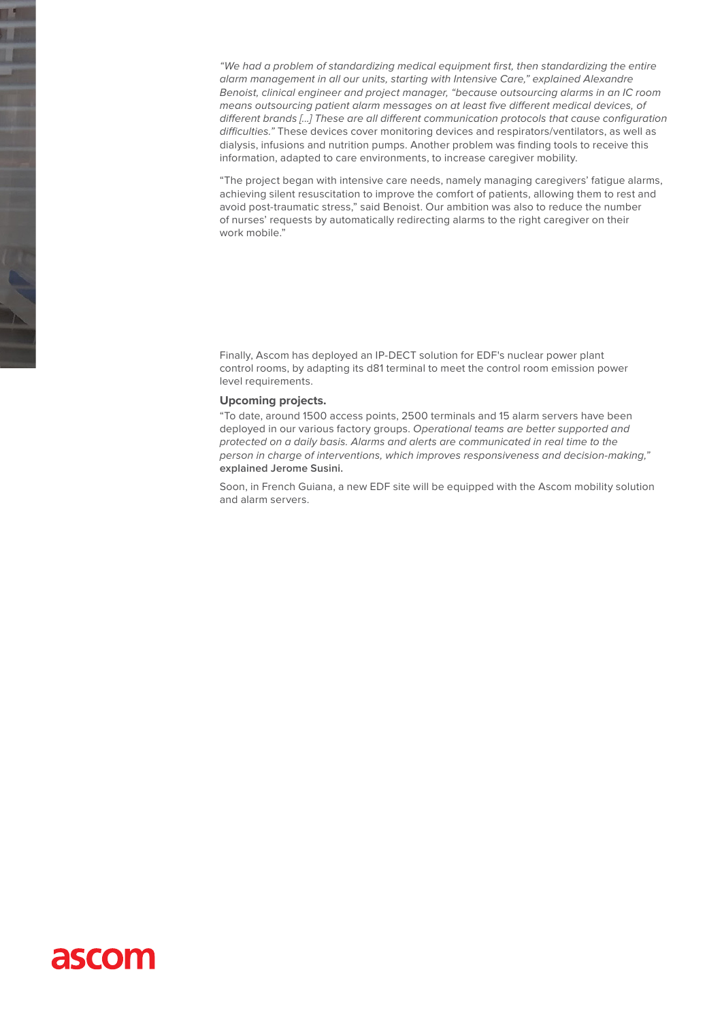*"We had a problem of standardizing medical equipment first, then standardizing the entire alarm management in all our units, starting with Intensive Care," explained Alexandre Benoist, clinical engineer and project manager, "because outsourcing alarms in an IC room means outsourcing patient alarm messages on at least five different medical devices, of different brands [...] These are all different communication protocols that cause configuration difficulties."* These devices cover monitoring devices and respirators/ventilators, as well as dialysis, infusions and nutrition pumps. Another problem was finding tools to receive this information, adapted to care environments, to increase caregiver mobility.

"The project began with intensive care needs, namely managing caregivers' fatigue alarms, achieving silent resuscitation to improve the comfort of patients, allowing them to rest and avoid post-traumatic stress," said Benoist. Our ambition was also to reduce the number of nurses' requests by automatically redirecting alarms to the right caregiver on their work mobile."

Finally, Ascom has deployed an IP-DECT solution for EDF's nuclear power plant control rooms, by adapting its d81 terminal to meet the control room emission power level requirements.

#### **Upcoming projects.**

"To date, around 1500 access points, 2500 terminals and 15 alarm servers have been deployed in our various factory groups. *Operational teams are better supported and protected on a daily basis. Alarms and alerts are communicated in real time to the person in charge of interventions, which improves responsiveness and decision-making,"* **explained Jerome Susini.**

Soon, in French Guiana, a new EDF site will be equipped with the Ascom mobility solution and alarm servers.